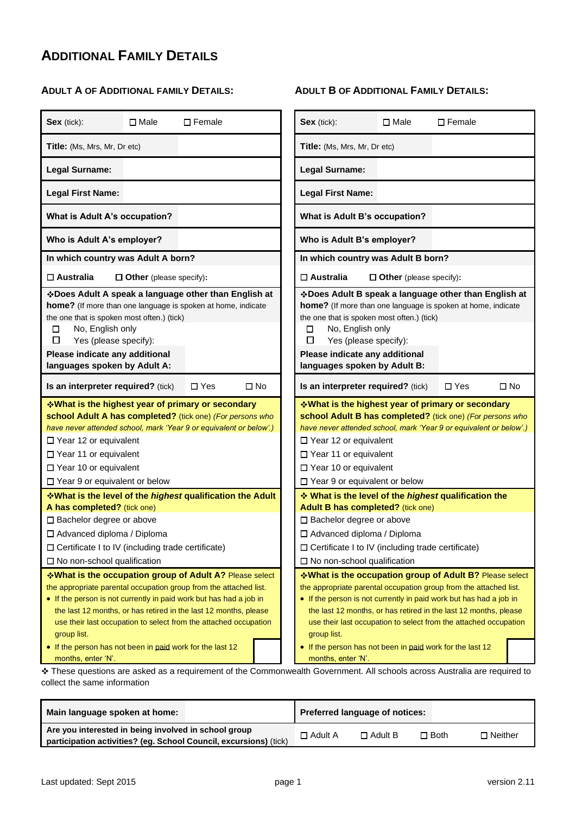# **ADDITIONAL FAMILY DETAILS**

### **ADULT A OF ADDITIONAL FAMILY DETAILS:**

| Sex (tick):                                                                                                                                                                            | $\square$ Male                 | $\square$ Female                                                                                                                                                                                                                                                                                                                           |        | Sex (tick):                                                                                                                                                                                                                                                                                                                                                                                                                                  | $\Box$ Male                    | $\square$ Female |           |
|----------------------------------------------------------------------------------------------------------------------------------------------------------------------------------------|--------------------------------|--------------------------------------------------------------------------------------------------------------------------------------------------------------------------------------------------------------------------------------------------------------------------------------------------------------------------------------------|--------|----------------------------------------------------------------------------------------------------------------------------------------------------------------------------------------------------------------------------------------------------------------------------------------------------------------------------------------------------------------------------------------------------------------------------------------------|--------------------------------|------------------|-----------|
| Title: (Ms, Mrs, Mr, Dr etc)                                                                                                                                                           |                                |                                                                                                                                                                                                                                                                                                                                            |        | Title: (Ms, Mrs, Mr, Dr etc)                                                                                                                                                                                                                                                                                                                                                                                                                 |                                |                  |           |
| Legal Surname:                                                                                                                                                                         |                                |                                                                                                                                                                                                                                                                                                                                            |        | Legal Surname:                                                                                                                                                                                                                                                                                                                                                                                                                               |                                |                  |           |
| <b>Legal First Name:</b>                                                                                                                                                               |                                |                                                                                                                                                                                                                                                                                                                                            |        | <b>Legal First Name:</b>                                                                                                                                                                                                                                                                                                                                                                                                                     |                                |                  |           |
| <b>What is Adult A's occupation?</b>                                                                                                                                                   |                                |                                                                                                                                                                                                                                                                                                                                            |        | What is Adult B's occupation?                                                                                                                                                                                                                                                                                                                                                                                                                |                                |                  |           |
| Who is Adult A's employer?                                                                                                                                                             |                                |                                                                                                                                                                                                                                                                                                                                            |        | Who is Adult B's employer?                                                                                                                                                                                                                                                                                                                                                                                                                   |                                |                  |           |
| In which country was Adult A born?                                                                                                                                                     |                                |                                                                                                                                                                                                                                                                                                                                            |        | In which country was Adult B born?                                                                                                                                                                                                                                                                                                                                                                                                           |                                |                  |           |
| $\square$ Australia                                                                                                                                                                    | $\Box$ Other (please specify): |                                                                                                                                                                                                                                                                                                                                            |        | $\Box$ Australia                                                                                                                                                                                                                                                                                                                                                                                                                             | $\Box$ Other (please specify): |                  |           |
| the one that is spoken most often.) (tick)<br>No, English only<br>□<br>□<br>Yes (please specify):<br>Please indicate any additional<br>languages spoken by Adult A:                    |                                | ❖ Does Adult A speak a language other than English at<br>home? (If more than one language is spoken at home, indicate                                                                                                                                                                                                                      | ⊔<br>□ | ❖ Does Adult B speak a language other than English at<br>home? (If more than one language is spoken at home, indicate<br>the one that is spoken most often.) (tick)<br>No, English only<br>Yes (please specify):<br>Please indicate any additional<br>languages spoken by Adult B:                                                                                                                                                           |                                |                  |           |
| Is an interpreter required? (tick)                                                                                                                                                     |                                | $\Box$ No<br>$\Box$ Yes                                                                                                                                                                                                                                                                                                                    |        | Is an interpreter required? (tick)                                                                                                                                                                                                                                                                                                                                                                                                           |                                | $\Box$ Yes       | $\Box$ No |
| □ Year 12 or equivalent<br>□ Year 11 or equivalent<br>□ Year 10 or equivalent<br>□ Year 9 or equivalent or below                                                                       |                                | <b>V</b> What is the highest year of primary or secondary ↓<br>school Adult A has completed? (tick one) (For persons who<br>have never attended school, mark 'Year 9 or equivalent or below'.)                                                                                                                                             |        | <b>V</b> What is the highest year of primary or secondary ↓<br>school Adult B has completed? (tick one) (For persons who<br>have never attended school, mark 'Year 9 or equivalent or below'.)<br>$\Box$ Year 12 or equivalent<br>□ Year 11 or equivalent<br>$\Box$ Year 10 or equivalent<br>□ Year 9 or equivalent or below                                                                                                                 |                                |                  |           |
|                                                                                                                                                                                        |                                | <b>V</b> What is the level of the <i>highest</i> qualification the Adult                                                                                                                                                                                                                                                                   |        | ❖ What is the level of the highest qualification the                                                                                                                                                                                                                                                                                                                                                                                         |                                |                  |           |
| A has completed? (tick one)<br>□ Bachelor degree or above<br>□ Advanced diploma / Diploma<br>□ Certificate I to IV (including trade certificate)<br>$\Box$ No non-school qualification |                                |                                                                                                                                                                                                                                                                                                                                            |        | Adult B has completed? (tick one)<br>□ Bachelor degree or above<br>□ Advanced diploma / Diploma<br>□ Certificate I to IV (including trade certificate)<br>$\Box$ No non-school qualification                                                                                                                                                                                                                                                 |                                |                  |           |
| group list.<br>• If the person has not been in paid work for the last 12<br>months, enter 'N'.                                                                                         |                                | *What is the occupation group of Adult A? Please select<br>the appropriate parental occupation group from the attached list.<br>• If the person is not currently in paid work but has had a job in<br>the last 12 months, or has retired in the last 12 months, please<br>use their last occupation to select from the attached occupation |        | *What is the occupation group of Adult B? Please select<br>the appropriate parental occupation group from the attached list.<br>• If the person is not currently in paid work but has had a job in<br>the last 12 months, or has retired in the last 12 months, please<br>use their last occupation to select from the attached occupation<br>group list.<br>• If the person has not been in paid work for the last 12<br>months, enter 'N'. |                                |                  |           |

These questions are asked as a requirement of the Commonwealth Government. All schools across Australia are required to collect the same information

| Main language spoken at home:                                     | Preferred language of notices: |                |             |                |  |
|-------------------------------------------------------------------|--------------------------------|----------------|-------------|----------------|--|
| Are you interested in being involved in school group              | $\Box$ Adult A                 | $\Box$ Adult B | $\Box$ Both | $\Box$ Neither |  |
| participation activities? (eq. School Council, excursions) (tick) |                                |                |             |                |  |

### **ADULT B OF ADDITIONAL FAMILY DETAILS:**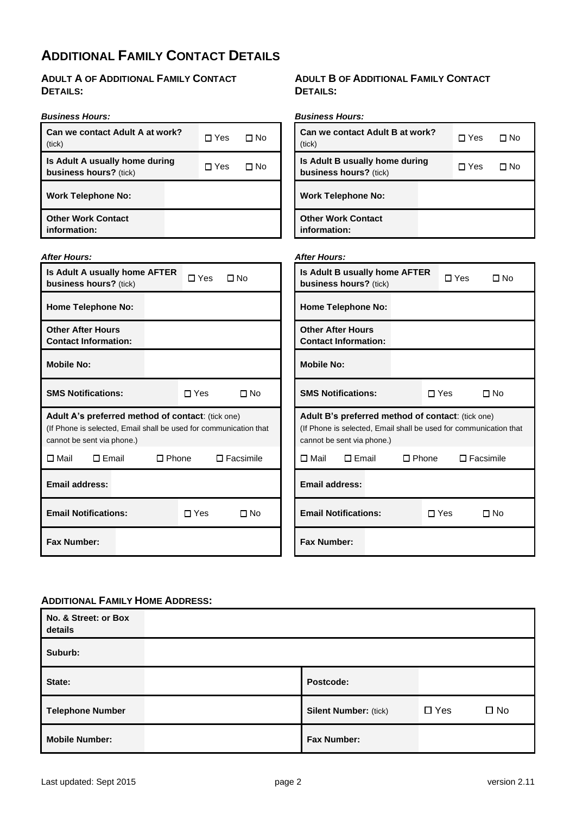# **ADDITIONAL FAMILY CONTACT DETAILS**

**ADULT A OF ADDITIONAL FAMILY CONTACT DETAILS:**

### *Business Hours:*

*After Hours:*

**Is Adult A usually home AFTER** 

**business hours?** (tick)

| כ ושטרו ככשוורכום.                                              |       |      |
|-----------------------------------------------------------------|-------|------|
| Can we contact Adult A at work?<br>(tick)                       | ∏ Yes | ∏ No |
| Is Adult A usually home during<br><b>business hours?</b> (tick) | ∏ Yes | N∩   |
| <b>Work Telephone No:</b>                                       |       |      |
| <b>Other Work Contact</b><br>information:                       |       |      |

□ Yes □ No

# **DETAILS:** *Business Hours:*

**ADULT B OF ADDITIONAL FAMILY CONTACT** 

| Can we contact Adult B at work?<br>(tick)                | ∩ Yes | Π N∩ |
|----------------------------------------------------------|-------|------|
| Is Adult B usually home during<br>business hours? (tick) | □ Yes | N∩   |
| <b>Work Telephone No:</b>                                |       |      |
| <b>Other Work Contact</b><br>information:                |       |      |
|                                                          |       |      |

### *After Hours:* **Is Adult B usually home AFTER business hours?** (tick) □ Yes □ No **Home Telephone No: Other After Hours Contact Information:**

| <b>Home Telephone No:</b>                                                                                                                            |              |                  | <b>Home Telephone No:</b>                                                                                                                            |              |            |                  |
|------------------------------------------------------------------------------------------------------------------------------------------------------|--------------|------------------|------------------------------------------------------------------------------------------------------------------------------------------------------|--------------|------------|------------------|
| <b>Other After Hours</b><br><b>Contact Information:</b>                                                                                              |              |                  | <b>Other After Hours</b><br><b>Contact Information:</b>                                                                                              |              |            |                  |
| <b>Mobile No:</b>                                                                                                                                    |              |                  | <b>Mobile No:</b>                                                                                                                                    |              |            |                  |
| <b>SMS Notifications:</b>                                                                                                                            | $\Box$ Yes   | $\Box$ No        | <b>SMS Notifications:</b>                                                                                                                            |              | $\Box$ Yes | $\square$ No     |
| Adult A's preferred method of contact: (tick one)<br>(If Phone is selected, Email shall be used for communication that<br>cannot be sent via phone.) |              |                  | Adult B's preferred method of contact: (tick one)<br>(If Phone is selected, Email shall be used for communication that<br>cannot be sent via phone.) |              |            |                  |
| □ Mail<br>$\Box$ Email                                                                                                                               | $\Box$ Phone | $\Box$ Facsimile | $\Box$ Email<br>□ Mail                                                                                                                               | $\Box$ Phone |            | $\Box$ Facsimile |
| <b>Email address:</b>                                                                                                                                |              |                  | <b>Email address:</b>                                                                                                                                |              |            |                  |
| <b>Email Notifications:</b>                                                                                                                          | $\Box$ Yes   | $\Box$ No        | <b>Email Notifications:</b>                                                                                                                          |              | $\Box$ Yes | $\square$ No     |
| <b>Fax Number:</b>                                                                                                                                   |              |                  | <b>Fax Number:</b>                                                                                                                                   |              |            |                  |

### **ADDITIONAL FAMILY HOME ADDRESS:**

| No. & Street: or Box<br>details |                              |            |              |
|---------------------------------|------------------------------|------------|--------------|
| Suburb:                         |                              |            |              |
| State:                          | Postcode:                    |            |              |
| <b>Telephone Number</b>         | <b>Silent Number: (tick)</b> | $\Box$ Yes | $\square$ No |
| <b>Mobile Number:</b>           | <b>Fax Number:</b>           |            |              |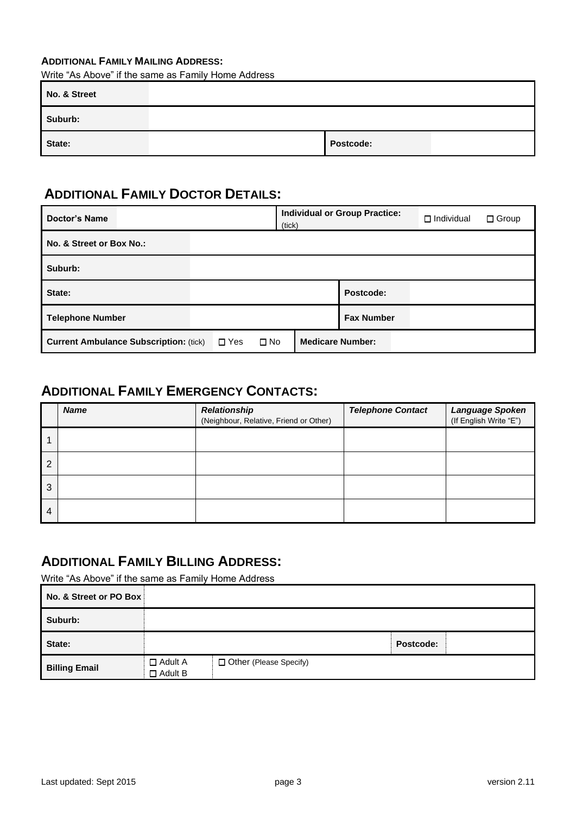### **ADDITIONAL FAMILY MAILING ADDRESS:**

Write "As Above" if the same as Family Home Address

| No. & Street |           |  |
|--------------|-----------|--|
| Suburb:      |           |  |
| State:       | Postcode: |  |

# **ADDITIONAL FAMILY DOCTOR DETAILS:**

| <b>Doctor's Name</b>                                                        | (tick) | <b>Individual or Group Practice:</b><br>$\Box$ Individual<br>$\Box$ Group |
|-----------------------------------------------------------------------------|--------|---------------------------------------------------------------------------|
| No. & Street or Box No.:                                                    |        |                                                                           |
| Suburb:                                                                     |        |                                                                           |
| State:                                                                      |        | Postcode:                                                                 |
| <b>Telephone Number</b>                                                     |        | <b>Fax Number</b>                                                         |
| $\Box$ Yes<br>$\square$ No<br><b>Current Ambulance Subscription: (tick)</b> |        | <b>Medicare Number:</b>                                                   |

## **ADDITIONAL FAMILY EMERGENCY CONTACTS:**

|                | <b>Name</b> | <b>Relationship</b><br>(Neighbour, Relative, Friend or Other) | <b>Telephone Contact</b> | Language Spoken<br>(If English Write "E") |
|----------------|-------------|---------------------------------------------------------------|--------------------------|-------------------------------------------|
|                |             |                                                               |                          |                                           |
| $\overline{2}$ |             |                                                               |                          |                                           |
| 3              |             |                                                               |                          |                                           |
| 4              |             |                                                               |                          |                                           |

### **ADDITIONAL FAMILY BILLING ADDRESS:**

Write "As Above" if the same as Family Home Address

| No. & Street or PO Box |                                  |                          |           |  |
|------------------------|----------------------------------|--------------------------|-----------|--|
| Suburb:                |                                  |                          |           |  |
| State:                 |                                  |                          | Postcode: |  |
| <b>Billing Email</b>   | $\Box$ Adult A<br>$\Box$ Adult B | □ Other (Please Specify) |           |  |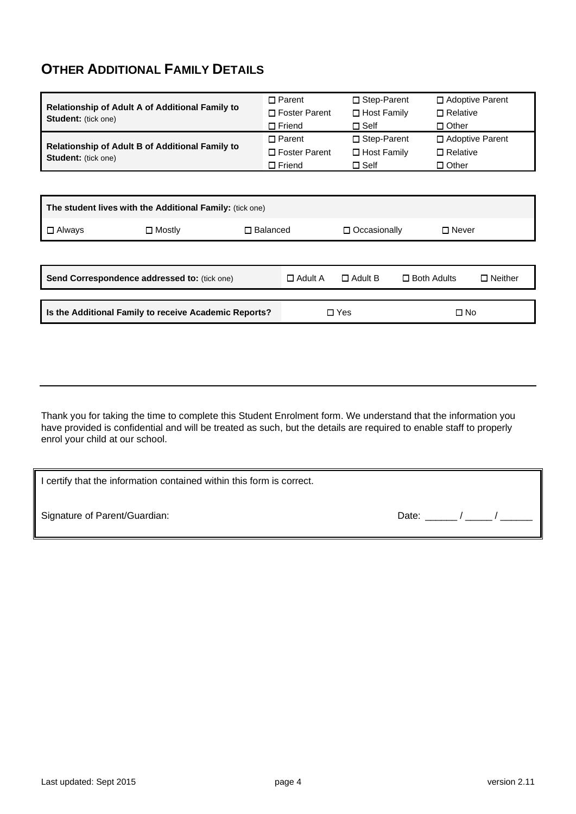# **OTHER ADDITIONAL FAMILY DETAILS**

|                                                                                      |                    | $\Box$ Parent                              | $\Box$ Step-Parent |                    | $\Box$ Adoptive Parent |                   |  |  |
|--------------------------------------------------------------------------------------|--------------------|--------------------------------------------|--------------------|--------------------|------------------------|-------------------|--|--|
| <b>Relationship of Adult A of Additional Family to</b><br><b>Student:</b> (tick one) |                    | $\Box$ Foster Parent<br>$\Box$ Host Family |                    |                    | $\Box$ Relative        |                   |  |  |
|                                                                                      |                    | $\Box$ Friend                              | $\square$ Self     |                    | $\Box$ Other           |                   |  |  |
|                                                                                      |                    | $\Box$ Parent                              | □ Step-Parent      |                    |                        | □ Adoptive Parent |  |  |
| <b>Relationship of Adult B of Additional Family to</b><br><b>Student:</b> (tick one) |                    | $\Box$ Foster Parent                       | $\Box$ Host Family |                    | $\Box$ Relative        |                   |  |  |
|                                                                                      |                    | $\Box$ Friend                              | $\square$ Self     |                    | $\Box$ Other           |                   |  |  |
|                                                                                      |                    |                                            |                    |                    |                        |                   |  |  |
|                                                                                      |                    |                                            |                    |                    |                        |                   |  |  |
| The student lives with the Additional Family: (tick one)                             |                    |                                            |                    |                    |                        |                   |  |  |
| $\square$ Always<br>$\square$ Mostly                                                 | $\square$ Balanced |                                            | □ Occasionally     |                    | $\Box$ Never           |                   |  |  |
|                                                                                      |                    |                                            |                    |                    |                        |                   |  |  |
|                                                                                      |                    |                                            |                    |                    |                        |                   |  |  |
| Send Correspondence addressed to: (tick one)                                         |                    | $\Box$ Adult A                             | $\Box$ Adult B     | $\Box$ Both Adults |                        | $\Box$ Neither    |  |  |
|                                                                                      |                    |                                            |                    |                    |                        |                   |  |  |
| Is the Additional Family to receive Academic Reports?                                |                    | $\Box$ Yes                                 |                    | □ No               |                        |                   |  |  |
|                                                                                      |                    |                                            |                    |                    |                        |                   |  |  |

Thank you for taking the time to complete this Student Enrolment form. We understand that the information you have provided is confidential and will be treated as such, but the details are required to enable staff to properly enrol your child at our school.

| certify that the information contained within this form is correct. |       |  |
|---------------------------------------------------------------------|-------|--|
| Signature of Parent/Guardian:                                       | Date: |  |